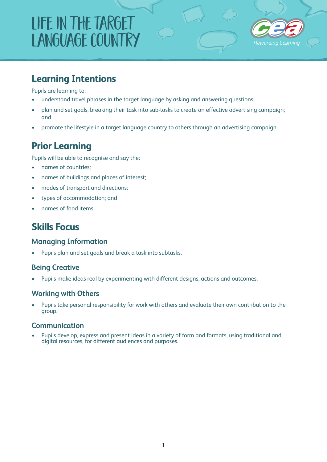# Life in the Target Language Country



### **Learning Intentions**

Pupils are learning to:

- understand travel phrases in the target language by asking and answering questions;
- plan and set goals, breaking their task into sub-tasks to create an effective advertising campaign; and
- promote the lifestyle in a target language country to others through an advertising campaign.

### **Prior Learning**

Pupils will be able to recognise and say the:

- names of countries;
- names of buildings and places of interest;
- modes of transport and directions;
- types of accommodation; and
- names of food items.

### **Skills Focus**

### **Managing Information**

• Pupils plan and set goals and break a task into subtasks.

### **Being Creative**

• Pupils make ideas real by experimenting with different designs, actions and outcomes.

### **Working with Others**

Pupils take personal responsibility for work with others and evaluate their own contribution to the group.

### **Communication**

• Pupils develop, express and present ideas in a variety of form and formats, using traditional and digital resources, for different audiences and purposes.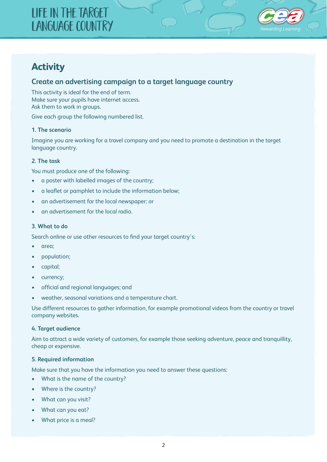## Life in the Target Language Country



### **Activity**

### **Create an advertising campaign to a target language country**

This activity is ideal for the end of term. Make sure your pupils have internet access. Ask them to work in groups.

Give each group the following numbered list.

#### **1. The scenario**

Imagine you are working for a travel company and you need to promote a destination in the target language country.

### **2. The task**

You must produce one of the following:

- a poster with labelled images of the country;
- a leaflet or pamphlet to include the information below;
- an advertisement for the local newspaper; or
- an advertisement for the local radio.

#### **3. What to do**

Search online or use other resources to find your target country's:

- area:
- population;
- capital;
- currency;
- official and regional languages; and
- weather, seasonal variations and a temperature chart.

Use different resources to gather information, for example promotional videos from the country or travel company websites.

#### **4. Target audience**

Aim to attract a wide variety of customers, for example those seeking adventure, peace and tranquillity, cheap or expensive.

#### **5. Required information**

Make sure that you have the information you need to answer these questions:

- What is the name of the country?
- Where is the country?
- What can you visit?
- What can you eat?
- What price is a meal?